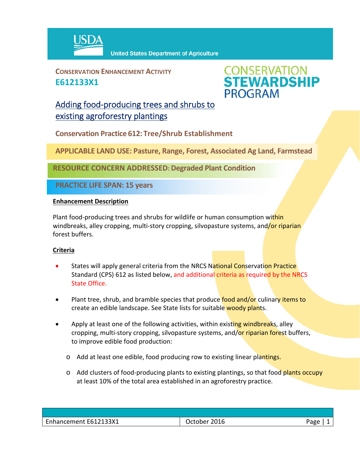

**CONSERVATION ENHANCEMENT ACTIVITY E612133X1**



# Adding food‐producing trees and shrubs to existing agroforestry plantings

**Conservation Practice 612: Tree/Shrub Establishment**

**APPLICABLE LAND USE: Pasture, Range, Forest, Associated Ag Land, Farmstead**

**RESOURCE CONCERN ADDRESSED: Degraded Plant Condition**

**PRACTICE LIFE SPAN: 15 years**

### **Enhancement Description**

Plant food-producing trees and shrubs for wildlife or human consumption within windbreaks, alley cropping, multi-story cropping, silvopasture systems, and/or riparian forest buffers.

## **Criteria**

- States will apply general criteria from the NRCS National Conservation Practice Standard (CPS) 612 as listed below, and additional criteria as required by the NRCS State Office.
- Plant tree, shrub, and bramble species that produce food and/or culinary items to create an edible landscape. See State lists for suitable woody plants.
- Apply at least one of the following activities, within existing windbreaks, alley cropping, multi-story cropping, silvopasture systems, and/or riparian forest buffers, to improve edible food production:
	- $\circ$  Add at least one edible, food producing row to existing linear plantings.
	- Add clusters of food-producing plants to existing plantings, so that food plants occupy at least 10% of the total area established in an agroforestry practice.

| Enhancement E612133X1 | 2016<br>October | Page |
|-----------------------|-----------------|------|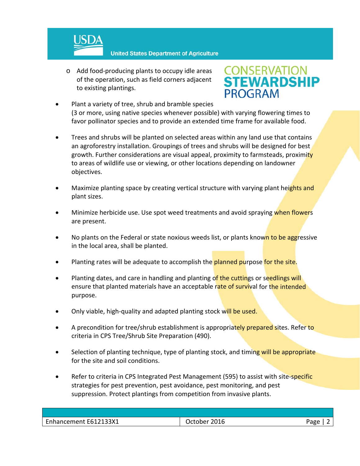

**United States Department of Agriculture** 

o Add food‐producing plants to occupy idle areas of the operation, such as field corners adjacent to existing plantings.

# **CONSERVATION<br>STEWARDSHIP PROGRAM**

- Plant a variety of tree, shrub and bramble species (3 or more, using native species whenever possible) with varying flowering times to favor pollinator species and to provide an extended time frame for available food.
- Trees and shrubs will be planted on selected areas within any land use that contains an agroforestry installation. Groupings of trees and shrubs will be designed for best growth. Further considerations are visual appeal, proximity to farmsteads, proximity to areas of wildlife use or viewing, or other locations depending on landowner objectives.
- Maximize planting space by creating vertical structure with varying plant heights and plant sizes.
- Minimize herbicide use. Use spot weed treatments and avoid spraying when flowers are present.
- No plants on the Federal or state noxious weeds list, or plants known to be aggressive in the local area, shall be planted.
- Planting rates will be adequate to accomplish the planned purpose for the site.
- Planting dates, and care in handling and planting of the cuttings or seedlings will ensure that planted materials have an acceptable rate of survival for the intended purpose.
- Only viable, high-quality and adapted planting stock will be used.
- A precondition for tree/shrub establishment is appropriately prepared sites. Refer to criteria in CPS Tree/Shrub Site Preparation (490).
- Selection of planting technique, type of planting stock, and timing will be appropriate for the site and soil conditions.
- Refer to criteria in CPS Integrated Pest Management (595) to assist with site-specific strategies for pest prevention, pest avoidance, pest monitoring, and pest suppression. Protect plantings from competition from invasive plants.

| Enhancement E612133X1<br>2016<br>Page<br>October |  |  |
|--------------------------------------------------|--|--|
|                                                  |  |  |